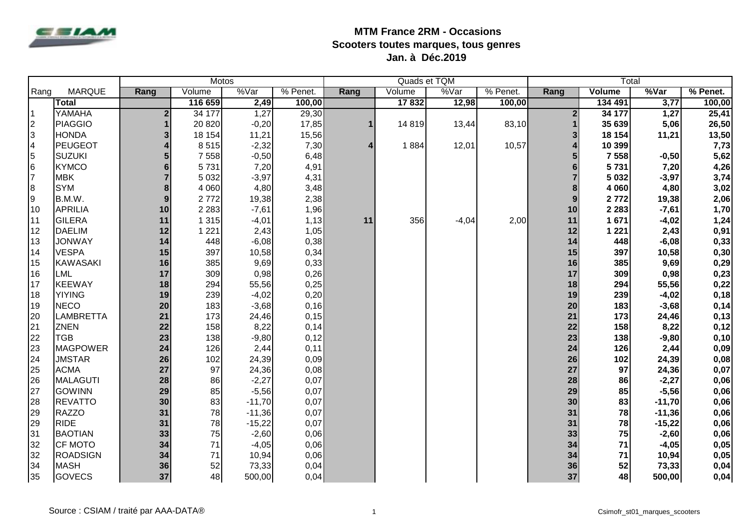

|                |                  | <b>Motos</b>   |         |          |          | Quads et TQM |        |         | Total    |                        |               |          |          |
|----------------|------------------|----------------|---------|----------|----------|--------------|--------|---------|----------|------------------------|---------------|----------|----------|
| Rang           | <b>MARQUE</b>    | Rang           | Volume  | %Var     | % Penet. | Rang         | Volume | %Var    | % Penet. | Rang                   | <b>Volume</b> | %Var     | % Penet. |
|                | <b>Total</b>     |                | 116 659 | 2,49     | 100,00   |              | 17832  | 12,98   | 100,00   |                        | 134 491       | 3,77     | 100,00   |
| 1              | YAMAHA           | 2 <sub>l</sub> | 34 177  | 1,27     | 29,30    |              |        |         |          | $\overline{2}$         | 34 177        | 1,27     | 25,41    |
| $\overline{2}$ | <b>PIAGGIO</b>   |                | 20 8 20 | $-0,20$  | 17,85    | 1            | 14819  | 13,44   | 83,10    |                        | 35 639        | 5,06     | 26,50    |
| 3              | <b>HONDA</b>     | 3              | 18 154  | 11,21    | 15,56    |              |        |         |          | 3                      | 18 154        | 11,21    | 13,50    |
| $\overline{4}$ | <b>PEUGEOT</b>   |                | 8515    | $-2,32$  | 7,30     | 4            | 1884   | 12,01   | 10,57    | $\boldsymbol{\Lambda}$ | 10 399        |          | 7,73     |
| 5              | <b>SUZUKI</b>    |                | 7 5 5 8 | $-0,50$  | 6,48     |              |        |         |          | 5                      | 7 5 5 8       | $-0,50$  | 5,62     |
| l6             | <b>KYMCO</b>     | 6              | 5731    | 7,20     | 4,91     |              |        |         |          | $6\phantom{1}6$        | 5731          | 7,20     | 4,26     |
| $\overline{7}$ | <b>MBK</b>       |                | 5 0 3 2 | $-3,97$  | 4,31     |              |        |         |          | $\overline{7}$         | 5 0 3 2       | $-3,97$  | 3,74     |
| 8              | <b>SYM</b>       | 8              | 4 0 6 0 | 4,80     | 3,48     |              |        |         |          | 8                      | 4 0 6 0       | 4,80     | 3,02     |
| 9              | B.M.W.           | 9              | 2772    | 19,38    | 2,38     |              |        |         |          | $\mathbf{9}$           | 2772          | 19,38    | 2,06     |
| 10             | <b>APRILIA</b>   | 10             | 2 2 8 3 | $-7,61$  | 1,96     |              |        |         |          | 10                     | 2 2 8 3       | $-7,61$  | 1,70     |
| 11             | <b>GILERA</b>    | 11             | 1 3 1 5 | $-4,01$  | 1,13     | 11           | 356    | $-4,04$ | 2,00     | 11                     | 1671          | $-4,02$  | 1,24     |
| 12             | <b>DAELIM</b>    | 12             | 1 2 2 1 | 2,43     | 1,05     |              |        |         |          | 12                     | 1 2 2 1       | 2,43     | 0,91     |
| 13             | <b>JONWAY</b>    | 14             | 448     | $-6,08$  | 0,38     |              |        |         |          | 14                     | 448           | $-6,08$  | 0,33     |
| 14             | <b>VESPA</b>     | 15             | 397     | 10,58    | 0,34     |              |        |         |          | 15                     | 397           | 10,58    | 0,30     |
| 15             | <b>KAWASAKI</b>  | 16             | 385     | 9,69     | 0,33     |              |        |         |          | 16                     | 385           | 9,69     | 0,29     |
| 16             | <b>LML</b>       | 17             | 309     | 0,98     | 0,26     |              |        |         |          | 17                     | 309           | 0,98     | 0,23     |
| 17             | <b>KEEWAY</b>    | 18             | 294     | 55,56    | 0,25     |              |        |         |          | 18                     | 294           | 55,56    | 0,22     |
| 18             | <b>YIYING</b>    | 19             | 239     | $-4,02$  | 0,20     |              |        |         |          | 19                     | 239           | $-4,02$  | 0,18     |
| 19             | <b>NECO</b>      | 20             | 183     | $-3,68$  | 0, 16    |              |        |         |          | 20                     | 183           | $-3,68$  | 0,14     |
| 20             | <b>LAMBRETTA</b> | 21             | 173     | 24,46    | 0, 15    |              |        |         |          | 21                     | 173           | 24,46    | 0,13     |
| 21             | <b>ZNEN</b>      | 22             | 158     | 8,22     | 0,14     |              |        |         |          | 22                     | 158           | 8,22     | 0,12     |
| 22             | <b>TGB</b>       | 23             | 138     | $-9,80$  | 0,12     |              |        |         |          | 23                     | 138           | $-9,80$  | 0,10     |
| 23             | <b>MAGPOWER</b>  | 24             | 126     | 2,44     | 0,11     |              |        |         |          | 24                     | 126           | 2,44     | 0,09     |
| 24             | <b>JMSTAR</b>    | 26             | 102     | 24,39    | 0,09     |              |        |         |          | 26                     | 102           | 24,39    | 0,08     |
| 25             | <b>ACMA</b>      | 27             | 97      | 24,36    | 0,08     |              |        |         |          | 27                     | 97            | 24,36    | 0,07     |
| 26             | <b>MALAGUTI</b>  | 28             | 86      | $-2,27$  | 0,07     |              |        |         |          | 28                     | 86            | $-2,27$  | 0,06     |
| 27             | <b>GOWINN</b>    | 29             | 85      | $-5,56$  | 0,07     |              |        |         |          | 29                     | 85            | $-5,56$  | 0,06     |
| 28             | <b>REVATTO</b>   | 30             | 83      | $-11,70$ | 0,07     |              |        |         |          | 30                     | 83            | $-11,70$ | 0,06     |
| 29             | <b>RAZZO</b>     | 31             | 78      | $-11,36$ | 0,07     |              |        |         |          | 31                     | 78            | $-11,36$ | 0,06     |
| 29             | <b>RIDE</b>      | 31             | 78      | $-15,22$ | 0,07     |              |        |         |          | 31                     | 78            | $-15,22$ | 0,06     |
| 31             | <b>BAOTIAN</b>   | 33             | 75      | $-2,60$  | 0,06     |              |        |         |          | 33                     | 75            | $-2,60$  | 0,06     |
| 32             | <b>CF MOTO</b>   | 34             | 71      | $-4,05$  | 0,06     |              |        |         |          | 34                     | 71            | $-4,05$  | 0,05     |
| 32             | <b>ROADSIGN</b>  | 34             | 71      | 10,94    | 0,06     |              |        |         |          | 34                     | 71            | 10,94    | 0,05     |
| 34             | <b>MASH</b>      | 36             | 52      | 73,33    | 0,04     |              |        |         |          | 36                     | 52            | 73,33    | 0,04     |
| 35             | <b>GOVECS</b>    | 37             | 48      | 500,00   | 0,04     |              |        |         |          | 37                     | 48            | 500,00   | 0,04     |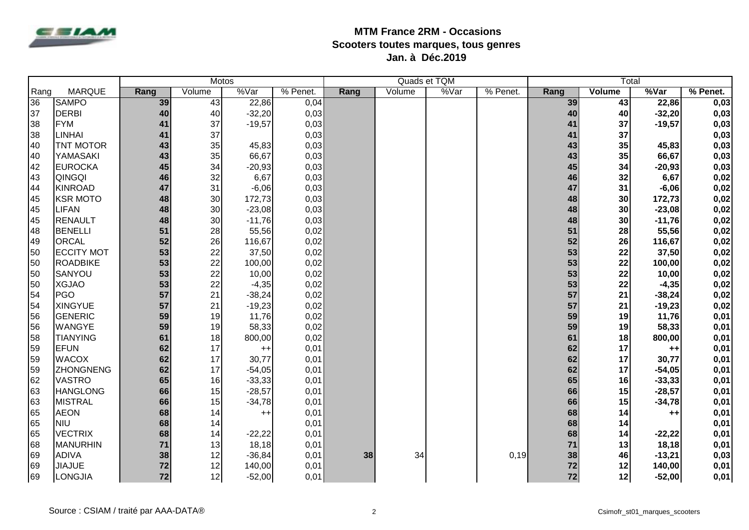

|      |                   |      | <b>Motos</b> |          |          |      |        | Quads et TQM |          |      | Total         |          |            |
|------|-------------------|------|--------------|----------|----------|------|--------|--------------|----------|------|---------------|----------|------------|
| Rang | <b>MARQUE</b>     | Rang | Volume       | %Var     | % Penet. | Rang | Volume | %Var         | % Penet. | Rang | <b>Volume</b> | %Var     | $%$ Penet. |
| 36   | <b>SAMPO</b>      | 39   | 43           | 22,86    | 0,04     |      |        |              |          | 39   | 43            | 22,86    | 0,03       |
| 37   | <b>DERBI</b>      | 40   | 40           | $-32,20$ | 0,03     |      |        |              |          | 40   | 40            | $-32,20$ | 0,03       |
| 38   | <b>FYM</b>        | 41   | 37           | $-19,57$ | 0,03     |      |        |              |          | 41   | 37            | $-19,57$ | 0,03       |
| 38   | <b>LINHAI</b>     | 41   | 37           |          | 0,03     |      |        |              |          | 41   | 37            |          | 0,03       |
| 40   | <b>TNT MOTOR</b>  | 43   | 35           | 45,83    | 0,03     |      |        |              |          | 43   | 35            | 45,83    | 0,03       |
| 40   | YAMASAKI          | 43   | 35           | 66,67    | 0,03     |      |        |              |          | 43   | 35            | 66,67    | 0,03       |
| 42   | <b>EUROCKA</b>    | 45   | 34           | $-20,93$ | 0,03     |      |        |              |          | 45   | 34            | $-20,93$ | 0,03       |
| 43   | <b>QINGQI</b>     | 46   | 32           | 6,67     | 0,03     |      |        |              |          | 46   | 32            | 6,67     | 0,02       |
| 44   | <b>KINROAD</b>    | 47   | 31           | $-6,06$  | 0,03     |      |        |              |          | 47   | 31            | $-6,06$  | 0,02       |
| 45   | <b>KSR MOTO</b>   | 48   | 30           | 172,73   | 0,03     |      |        |              |          | 48   | 30            | 172,73   | 0,02       |
| 45   | <b>LIFAN</b>      | 48   | 30           | $-23,08$ | 0,03     |      |        |              |          | 48   | 30            | $-23,08$ | 0,02       |
| 45   | <b>RENAULT</b>    | 48   | 30           | $-11,76$ | 0,03     |      |        |              |          | 48   | 30            | $-11,76$ | 0,02       |
| 48   | <b>BENELLI</b>    | 51   | 28           | 55,56    | 0,02     |      |        |              |          | 51   | 28            | 55,56    | 0,02       |
| 49   | <b>ORCAL</b>      | 52   | 26           | 116,67   | 0,02     |      |        |              |          | 52   | 26            | 116,67   | 0,02       |
| 50   | <b>ECCITY MOT</b> | 53   | 22           | 37,50    | 0,02     |      |        |              |          | 53   | 22            | 37,50    | 0,02       |
| 50   | <b>ROADBIKE</b>   | 53   | 22           | 100,00   | 0,02     |      |        |              |          | 53   | 22            | 100,00   | 0,02       |
| 50   | SANYOU            | 53   | 22           | 10,00    | 0,02     |      |        |              |          | 53   | 22            | 10,00    | 0,02       |
| 50   | <b>XGJAO</b>      | 53   | 22           | $-4,35$  | 0,02     |      |        |              |          | 53   | 22            | $-4,35$  | 0,02       |
| 54   | PGO               | 57   | 21           | $-38,24$ | 0,02     |      |        |              |          | 57   | 21            | $-38,24$ | 0,02       |
| 54   | <b>XINGYUE</b>    | 57   | 21           | $-19,23$ | 0,02     |      |        |              |          | 57   | 21            | $-19,23$ | 0,02       |
| 56   | <b>GENERIC</b>    | 59   | 19           | 11,76    | 0,02     |      |        |              |          | 59   | 19            | 11,76    | 0,01       |
| 56   | <b>WANGYE</b>     | 59   | 19           | 58,33    | 0,02     |      |        |              |          | 59   | 19            | 58,33    | 0,01       |
| 58   | <b>TIANYING</b>   | 61   | 18           | 800,00   | 0,02     |      |        |              |          | 61   | 18            | 800,00   | 0,01       |
| 59   | <b>EFUN</b>       | 62   | 17           | $++$     | 0,01     |      |        |              |          | 62   | 17            | $++$     | 0,01       |
| 59   | <b>WACOX</b>      | 62   | 17           | 30,77    | 0,01     |      |        |              |          | 62   | 17            | 30,77    | 0,01       |
| 59   | <b>ZHONGNENG</b>  | 62   | 17           | $-54,05$ | 0,01     |      |        |              |          | 62   | 17            | $-54,05$ | 0,01       |
| 62   | <b>VASTRO</b>     | 65   | 16           | $-33,33$ | 0,01     |      |        |              |          | 65   | 16            | $-33,33$ | 0,01       |
| 63   | <b>HANGLONG</b>   | 66   | 15           | $-28,57$ | 0,01     |      |        |              |          | 66   | 15            | $-28,57$ | 0,01       |
| 63   | <b>MISTRAL</b>    | 66   | 15           | $-34,78$ | 0,01     |      |        |              |          | 66   | 15            | $-34,78$ | 0,01       |
| 65   | <b>AEON</b>       | 68   | 14           | $++$     | 0,01     |      |        |              |          | 68   | 14            | $++$     | 0,01       |
| 65   | <b>NIU</b>        | 68   | 14           |          | 0,01     |      |        |              |          | 68   | 14            |          | 0,01       |
| 65   | <b>VECTRIX</b>    | 68   | 14           | $-22,22$ | 0,01     |      |        |              |          | 68   | 14            | $-22,22$ | 0,01       |
| 68   | <b>MANURHIN</b>   | 71   | 13           | 18,18    | 0,01     |      |        |              |          | 71   | 13            | 18,18    | 0,01       |
| 69   | <b>ADIVA</b>      | 38   | 12           | $-36,84$ | 0,01     | 38   | 34     |              | 0,19     | 38   | 46            | $-13,21$ | 0,03       |
| 69   | <b>JIAJUE</b>     | 72   | 12           | 140,00   | 0,01     |      |        |              |          | 72   | 12            | 140,00   | 0,01       |
| 69   | LONGJIA           | 72   | 12           | $-52,00$ | 0,01     |      |        |              |          | 72   | 12            | $-52,00$ | 0,01       |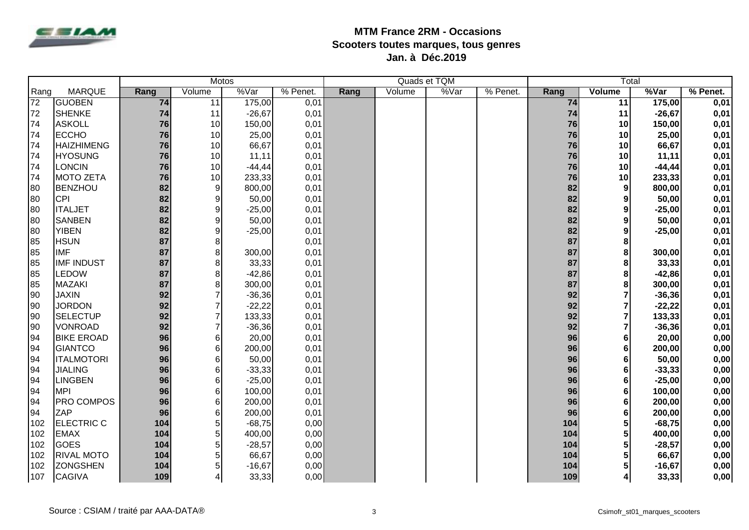

|                 |                   |      |                 | <b>Motos</b> |          |      |        | Quads et TQM |          |      | Total            |           |          |
|-----------------|-------------------|------|-----------------|--------------|----------|------|--------|--------------|----------|------|------------------|-----------|----------|
| Rang            | <b>MARQUE</b>     | Rang | Volume          | %Var         | % Penet. | Rang | Volume | %Var         | % Penet. | Rang | <b>Volume</b>    | %Var      | % Penet. |
| $\overline{72}$ | <b>GUOBEN</b>     | 74   | $\overline{11}$ | 175,00       | 0,01     |      |        |              |          | 74   | $\overline{11}$  | 175,00    | 0,01     |
| 72              | <b>SHENKE</b>     | 74   | 11              | $-26,67$     | 0,01     |      |        |              |          | 74   | 11               | $-26,67$  | 0,01     |
| 74              | <b>ASKOLL</b>     | 76   | 10              | 150,00       | 0,01     |      |        |              |          | 76   | 10               | 150,00    | 0,01     |
| 74              | <b>ECCHO</b>      | 76   | 10              | 25,00        | 0,01     |      |        |              |          | 76   | 10               | 25,00     | 0,01     |
| 74              | <b>HAIZHIMENG</b> | 76   | 10              | 66,67        | 0,01     |      |        |              |          | 76   | 10               | 66,67     | 0,01     |
| 74              | <b>HYOSUNG</b>    | 76   | 10              | 11,11        | 0,01     |      |        |              |          | 76   | 10               | 11,11     | 0,01     |
| 74              | <b>LONCIN</b>     | 76   | 10              | $-44, 44$    | 0,01     |      |        |              |          | 76   | 10               | $-44, 44$ | 0,01     |
| 74              | <b>MOTO ZETA</b>  | 76   | 10              | 233,33       | 0,01     |      |        |              |          | 76   | 10               | 233,33    | 0,01     |
| 80              | <b>BENZHOU</b>    | 82   | $9\,$           | 800,00       | 0,01     |      |        |              |          | 82   | 9                | 800,00    | 0,01     |
| 80              | <b>CPI</b>        | 82   | 9               | 50,00        | 0,01     |      |        |              |          | 82   | 9                | 50,00     | 0,01     |
| 80              | <b>ITALJET</b>    | 82   | 9               | $-25,00$     | 0,01     |      |        |              |          | 82   | $\boldsymbol{9}$ | $-25,00$  | 0,01     |
| 80              | <b>SANBEN</b>     | 82   | 9               | 50,00        | 0,01     |      |        |              |          | 82   | $\boldsymbol{9}$ | 50,00     | 0,01     |
| 80              | <b>YIBEN</b>      | 82   | 9               | $-25,00$     | 0,01     |      |        |              |          | 82   | 9                | $-25,00$  | 0,01     |
| 85              | <b>HSUN</b>       | 87   | 8               |              | 0,01     |      |        |              |          | 87   | 8                |           | 0,01     |
| 85              | <b>IMF</b>        | 87   | 8               | 300,00       | 0,01     |      |        |              |          | 87   | 8                | 300,00    | 0,01     |
| 85              | <b>IMF INDUST</b> | 87   | 8               | 33,33        | 0,01     |      |        |              |          | 87   | 8                | 33,33     | 0,01     |
| 85              | <b>LEDOW</b>      | 87   | 8               | $-42,86$     | 0,01     |      |        |              |          | 87   | 8                | $-42,86$  | 0,01     |
| 85              | <b>MAZAKI</b>     | 87   | 8               | 300,00       | 0,01     |      |        |              |          | 87   | 8                | 300,00    | 0,01     |
| 90              | <b>JAXIN</b>      | 92   | $\overline{7}$  | $-36,36$     | 0,01     |      |        |              |          | 92   | $\overline{7}$   | $-36,36$  | 0,01     |
| 90              | <b>JORDON</b>     | 92   |                 | $-22,22$     | 0,01     |      |        |              |          | 92   | $\overline{7}$   | $-22,22$  | 0,01     |
| 90              | <b>SELECTUP</b>   | 92   |                 | 133,33       | 0,01     |      |        |              |          | 92   | $\overline{7}$   | 133,33    | 0,01     |
| 90              | <b>VONROAD</b>    | 92   | $\overline{7}$  | $-36,36$     | 0,01     |      |        |              |          | 92   | $\overline{7}$   | $-36,36$  | 0,01     |
| 94              | <b>BIKE EROAD</b> | 96   | $6\phantom{1}$  | 20,00        | 0,01     |      |        |              |          | 96   | $6\phantom{1}6$  | 20,00     | 0,00     |
| 94              | <b>GIANTCO</b>    | 96   | 6               | 200,00       | 0,01     |      |        |              |          | 96   | 6                | 200,00    | 0,00     |
| 94              | <b>ITALMOTORI</b> | 96   | 6               | 50,00        | 0,01     |      |        |              |          | 96   | 6                | 50,00     | 0,00     |
| 94              | <b>JIALING</b>    | 96   | 6               | $-33,33$     | 0,01     |      |        |              |          | 96   | 6                | $-33,33$  | 0,00     |
| 94              | <b>LINGBEN</b>    | 96   | 6               | $-25,00$     | 0,01     |      |        |              |          | 96   | $6\phantom{1}$   | $-25,00$  | 0,00     |
| 94              | <b>MPI</b>        | 96   | 6               | 100,00       | 0,01     |      |        |              |          | 96   | $6\phantom{1}6$  | 100,00    | 0,00     |
| 94              | <b>PRO COMPOS</b> | 96   | 6               | 200,00       | 0,01     |      |        |              |          | 96   | $6\phantom{1}6$  | 200,00    | 0,00     |
| 94              | ZAP               | 96   | 6               | 200,00       | 0,01     |      |        |              |          | 96   | $6\phantom{1}6$  | 200,00    | 0,00     |
| 102             | <b>ELECTRIC C</b> | 104  | 5               | $-68,75$     | 0,00     |      |        |              |          | 104  | 5                | $-68,75$  | 0,00     |
| 102             | <b>EMAX</b>       | 104  | 5               | 400,00       | 0,00     |      |        |              |          | 104  | $5\phantom{a}$   | 400,00    | 0,00     |
| 102             | <b>GOES</b>       | 104  | 5               | $-28,57$     | 0,00     |      |        |              |          | 104  | 5                | $-28,57$  | 0,00     |
| 102             | <b>RIVAL MOTO</b> | 104  | 5               | 66,67        | 0,00     |      |        |              |          | 104  | 5                | 66,67     | 0,00     |
| 102             | <b>ZONGSHEN</b>   | 104  | 5               | $-16,67$     | 0,00     |      |        |              |          | 104  | 5                | $-16,67$  | 0,00     |
| 107             | <b>CAGIVA</b>     | 109  | 4               | 33,33        | 0,00     |      |        |              |          | 109  | 4                | 33,33     | 0,00     |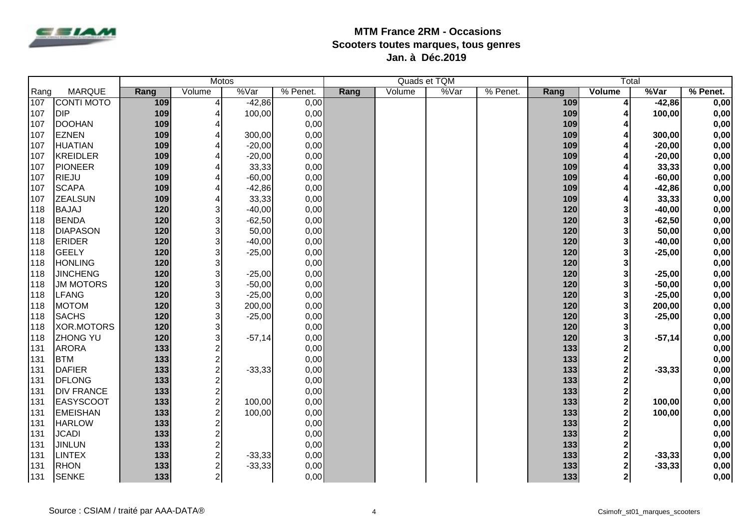

|                  |                   | <b>Motos</b> |                           |          |          |      | Quads et TQM |      | Total    |       |                         |          |          |
|------------------|-------------------|--------------|---------------------------|----------|----------|------|--------------|------|----------|-------|-------------------------|----------|----------|
| Rang             | <b>MARQUE</b>     | Rang         | Volume                    | %Var     | % Penet. | Rang | Volume       | %Var | % Penet. | Rang  | Volume                  | %Var     | % Penet. |
| $\overline{107}$ | <b>CONTI MOTO</b> | 109          | $\overline{\mathbf{4}}$   | $-42,86$ | 0,00     |      |              |      |          | 109   | 4                       | $-42,86$ | 0,00     |
| 107              | <b>DIP</b>        | 109          | $\overline{4}$            | 100,00   | 0,00     |      |              |      |          | 109   | 4                       | 100,00   | 0,00     |
| 107              | <b>DOOHAN</b>     | 109          | $\overline{4}$            |          | 0,00     |      |              |      |          | 109   | 4                       |          | 0,00     |
| 107              | <b>EZNEN</b>      | 109          | 4                         | 300,00   | 0,00     |      |              |      |          | 109   | 4                       | 300,00   | 0,00     |
| 107              | <b>HUATIAN</b>    | 109          | $\overline{4}$            | $-20,00$ | 0,00     |      |              |      |          | 109   | 4                       | $-20,00$ | 0,00     |
| 107              | <b>KREIDLER</b>   | 109          | $\overline{4}$            | $-20,00$ | 0,00     |      |              |      |          | 109   | 4                       | $-20,00$ | 0,00     |
| 107              | <b>PIONEER</b>    | 109          | 4                         | 33,33    | 0,00     |      |              |      |          | 109   | $\overline{\mathbf{4}}$ | 33,33    | 0,00     |
| 107              | <b>RIEJU</b>      | 109          | $\overline{4}$            | $-60,00$ | 0,00     |      |              |      |          | 109   | 4                       | $-60,00$ | 0,00     |
| 107              | <b>SCAPA</b>      | 109          | $\overline{4}$            | $-42,86$ | 0,00     |      |              |      |          | 109   | $\overline{\mathbf{4}}$ | $-42,86$ | 0,00     |
| 107              | <b>ZEALSUN</b>    | 109          | $\overline{4}$            | 33,33    | 0,00     |      |              |      |          | 109   | 4                       | 33,33    | 0,00     |
| 118              | <b>BAJAJ</b>      | 120          | $\ensuremath{\mathsf{3}}$ | $-40,00$ | 0,00     |      |              |      |          | 120   | $\mathbf{3}$            | $-40,00$ | 0,00     |
| 118              | <b>BENDA</b>      | 120          | $\ensuremath{\mathsf{3}}$ | $-62,50$ | 0,00     |      |              |      |          | 120   | $\mathbf{3}$            | $-62,50$ | 0,00     |
| 118              | <b>DIAPASON</b>   | 120          | 3                         | 50,00    | 0,00     |      |              |      |          | 120   | $\mathbf{3}$            | 50,00    | 0,00     |
| 118              | <b>ERIDER</b>     | 120          | 3                         | $-40,00$ | 0,00     |      |              |      |          | 120   | $\mathbf{3}$            | $-40,00$ | 0,00     |
| 118              | <b>GEELY</b>      | 120          | $\mathsf 3$               | $-25,00$ | 0,00     |      |              |      |          | 120   | $\mathbf{3}$            | $-25,00$ | 0,00     |
| 118              | <b>HONLING</b>    | 120          | 3                         |          | 0,00     |      |              |      |          | 120   | $\mathbf{3}$            |          | 0,00     |
| 118              | <b>JINCHENG</b>   | 120          | $\mathsf 3$               | $-25,00$ | 0,00     |      |              |      |          | 120   | $\mathbf{3}$            | $-25,00$ | 0,00     |
| 118              | <b>JM MOTORS</b>  | 120          | $\ensuremath{\mathsf{3}}$ | $-50,00$ | 0,00     |      |              |      |          | 120   | $\mathbf{3}$            | $-50,00$ | 0,00     |
| 118              | <b>LFANG</b>      | 120          | $\ensuremath{\mathsf{3}}$ | $-25,00$ | 0,00     |      |              |      |          | 120   | $\mathbf{3}$            | $-25,00$ | 0,00     |
| 118              | <b>MOTOM</b>      | 120          | $\mathsf 3$               | 200,00   | 0,00     |      |              |      |          | 120   | $\mathbf{3}$            | 200,00   | 0,00     |
| 118              | <b>SACHS</b>      | 120          | $\ensuremath{\mathsf{3}}$ | $-25,00$ | 0,00     |      |              |      |          | 120   | $\mathbf{3}$            | $-25,00$ | 0,00     |
| 118              | <b>XOR.MOTORS</b> | 120          | $\ensuremath{\mathsf{3}}$ |          | 0,00     |      |              |      |          | 120   | $\mathbf{3}$            |          | 0,00     |
| 118              | <b>ZHONG YU</b>   | 120          | $\mathsf 3$               | $-57,14$ | 0,00     |      |              |      |          | 120   | $\mathbf{3}$            | $-57,14$ | 0,00     |
| 131              | <b>ARORA</b>      | 133          | $\sqrt{2}$                |          | 0,00     |      |              |      |          | 133   | $\overline{\mathbf{c}}$ |          | 0,00     |
| 131              | <b>BTM</b>        | 133          | $\mathbf 2$               |          | 0,00     |      |              |      |          | 133   | $\overline{\mathbf{c}}$ |          | 0,00     |
| 131              | <b>DAFIER</b>     | 133          | $\mathbf 2$               | $-33,33$ | 0,00     |      |              |      |          | 133   | $\overline{\mathbf{2}}$ | $-33,33$ | 0,00     |
| 131              | <b>DFLONG</b>     | 133          | $\overline{c}$            |          | 0,00     |      |              |      |          | 133   | $\overline{\mathbf{2}}$ |          | 0,00     |
| 131              | <b>DIV FRANCE</b> | 133          | $\boldsymbol{2}$          |          | 0,00     |      |              |      |          | 133   | $\overline{\mathbf{2}}$ |          | 0,00     |
| 131              | <b>EASYSCOOT</b>  | 133          | $\overline{c}$            | 100,00   | 0,00     |      |              |      |          | 133   | $\overline{\mathbf{2}}$ | 100,00   | 0,00     |
| 131              | <b>EMEISHAN</b>   | 133          | $\overline{c}$            | 100,00   | 0,00     |      |              |      |          | 133   | $\overline{\mathbf{2}}$ | 100,00   | 0,00     |
| 131              | <b>HARLOW</b>     | 133          | $\overline{c}$            |          | 0,00     |      |              |      |          | 133   | $\overline{\mathbf{2}}$ |          | 0,00     |
| 131              | <b>JCADI</b>      | 133          | $\boldsymbol{2}$          |          | 0,00     |      |              |      |          | 133   | $\mathbf 2$             |          | 0,00     |
| 131              | <b>JINLUN</b>     | 133          | $\boldsymbol{2}$          |          | 0,00     |      |              |      |          | 133   | $\boldsymbol{2}$        |          | 0,00     |
| 131              | <b>LINTEX</b>     | 133          | $\boldsymbol{2}$          | $-33,33$ | 0,00     |      |              |      |          | 133   | $\mathbf{2}$            | $-33,33$ | 0,00     |
| 131              | <b>RHON</b>       | 133          | $\overline{c}$            | $-33,33$ | 0,00     |      |              |      |          | 133   | $\mathbf 2$             | $-33,33$ | 0,00     |
| 131              | <b>SENKE</b>      | 133          | 2                         |          | 0,00     |      |              |      |          | $133$ | $2\vert$                |          | 0,00     |